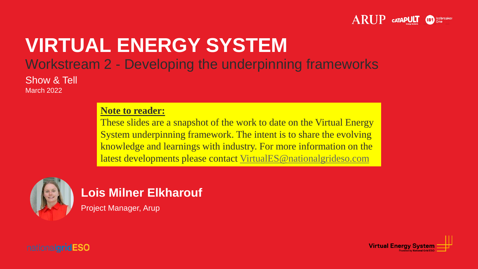

## **VIRTUAL ENERGY SYSTEM** Workstream 2 - Developing the underpinning frameworks

Show & Tell March 2022

#### **Note to reader:**

These slides are a snapshot of the work to date on the Virtual Energy System underpinning framework. The intent is to share the evolving knowledge and learnings with industry. For more information on the latest developments please contact [VirtualES@nationalgrideso.com](mailto:VirtualES@nationalgrideso.com)



#### **Lois Milner Elkharouf**

Project Manager, Arup



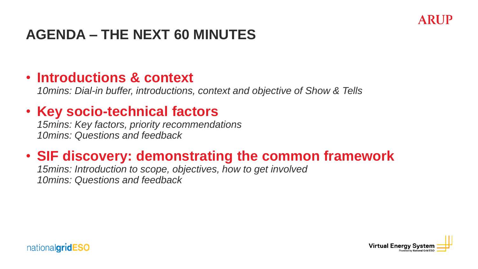

## **AGENDA – THE NEXT 60 MINUTES**

### • **Introductions & context**

*10mins: Dial-in buffer, introductions, context and objective of Show & Tells*

## • **Key socio-technical factors**

*15mins: Key factors, priority recommendations 10mins: Questions and feedback*

## • **SIF discovery: demonstrating the common framework**

*15mins: Introduction to scope, objectives, how to get involved 10mins: Questions and feedback*



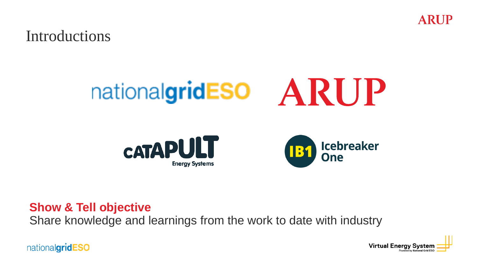Introductions

# nationalgridESO ARUP





**Show & Tell objective**

Share knowledge and learnings from the work to date with industry

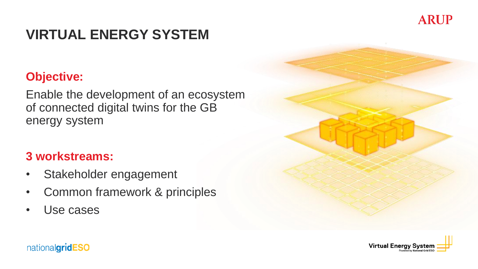## **VIRTUAL ENERGY SYSTEM**

#### **Objective:**

Enable the development of an ecosystem of connected digital twins for the GB energy system

#### **3 workstreams:**

- Stakeholder engagement
- Common framework & principles
- Use cases



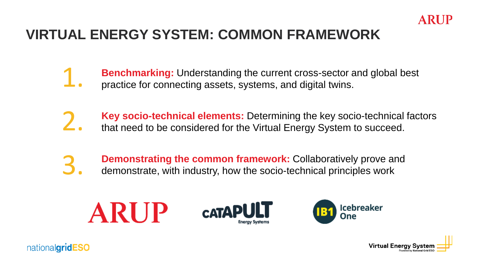

## **VIRTUAL ENERGY SYSTEM: COMMON FRAMEWORK**

- **Benchmarking:** Understanding the current cross-sector and global best practice for connecting assets, systems, and digital twins. 1.
- **Key socio-technical elements:** Determining the key socio-technical factors that need to be considered for the Virtual Energy System to succeed. 2.
- **Demonstrating the common framework:** Collaboratively prove and demonstrate, with industry, how the socio-technical principles work 3.



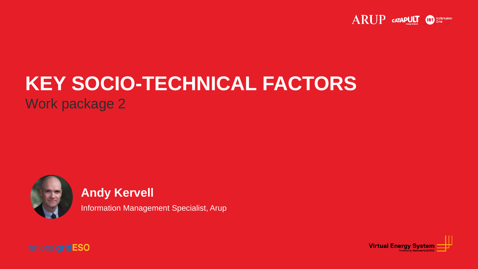

## **KEY SOCIO-TECHNICAL FACTORS** Work package 2



#### **Andy Kervell**

Information Management Specialist, Arup



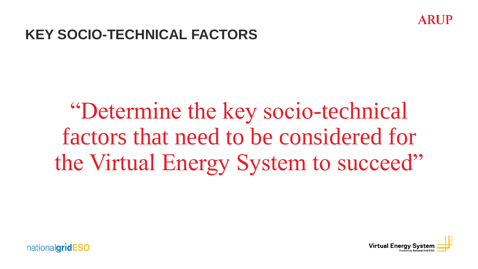

## **KEY SOCIO-TECHNICAL FACTORS**

## "Determine the key socio-technical factors that need to be considered for the Virtual Energy System to succeed"



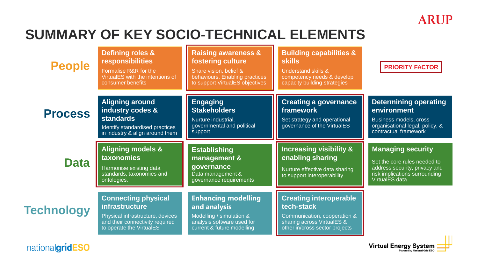## **SUMMARY OF KEY SOCIO-TECHNICAL ELEMENTS**

| <b>People</b>     | <b>Defining roles &amp;</b><br><b>responsibilities</b><br>Formalise R&R for the<br>VirtualES with the intentions of<br>consumer benefits               | <b>Raising awareness &amp;</b><br>fostering culture<br>Share vision, belief &<br>behaviours. Enabling practices<br>to support VirtualES objectives | <b>Building capabilities &amp;</b><br><b>skills</b><br>Understand skills &<br>competency needs & develop<br>capacity building strategies    | <b>PRIORITY FACTOR</b>                                                                                                                       |
|-------------------|--------------------------------------------------------------------------------------------------------------------------------------------------------|----------------------------------------------------------------------------------------------------------------------------------------------------|---------------------------------------------------------------------------------------------------------------------------------------------|----------------------------------------------------------------------------------------------------------------------------------------------|
| <b>Process</b>    | <b>Aligning around</b><br>industry codes &<br><b>standards</b><br>Identify standardised practices<br>in industry & align around them                   | <b>Engaging</b><br><b>Stakeholders</b><br>Nurture industrial,<br>governmental and political<br>support                                             | <b>Creating a governance</b><br>framework<br>Set strategy and operational<br>governance of the VirtualES                                    | <b>Determining operating</b><br>environment<br>Business models, cross<br>organisational legal, policy, &<br>contractual framework            |
| <b>Data</b>       | <b>Aligning models &amp;</b><br><b>taxonomies</b><br>Harmonise existing data<br>standards, taxonomies and<br>ontologies.                               | <b>Establishing</b><br>management &<br>governance<br>Data management &<br>governance requirements                                                  | <b>Increasing visibility &amp;</b><br>enabling sharing<br>Nurture effective data sharing<br>to support interoperability                     | <b>Managing security</b><br>Set the core rules needed to<br>address security, privacy and<br>risk implications surrounding<br>VirtualES data |
| <b>Technology</b> | <b>Connecting physical</b><br><b>infrastructure</b><br>Physical infrastructure, devices<br>and their connectivity required<br>to operate the VirtualES | <b>Enhancing modelling</b><br>and analysis<br>Modelling / simulation &<br>analysis software used for<br>current & future modelling                 | <b>Creating interoperable</b><br>tech-stack<br>Communication, cooperation &<br>sharing across VirtualES &<br>other in/cross sector projects | Ш                                                                                                                                            |

nationalgridESO

Virtual Energy System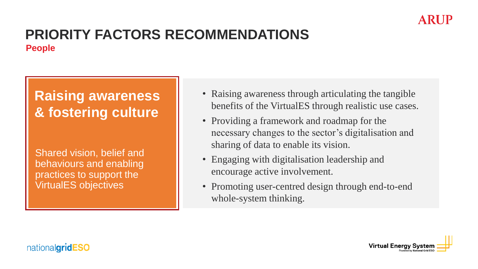

#### **PRIORITY FACTORS RECOMMENDATIONS People**

## **Raising awareness & fostering culture**

Shared vision, belief and behaviours and enabling practices to support the VirtualES objectives

- Raising awareness through articulating the tangible benefits of the VirtualES through realistic use cases.
- Providing a framework and roadmap for the necessary changes to the sector's digitalisation and sharing of data to enable its vision.
- Engaging with digitalisation leadership and encourage active involvement.
- Promoting user-centred design through end-to-end whole-system thinking.



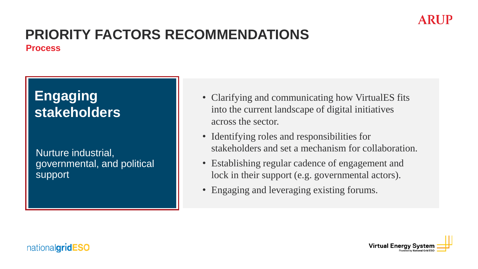#### ARUF

#### **PRIORITY FACTORS RECOMMENDATIONS Process**

## **Engaging stakeholders**

Nurture industrial, governmental, and political support

- Clarifying and communicating how VirtualES fits into the current landscape of digital initiatives across the sector.
- Identifying roles and responsibilities for stakeholders and set a mechanism for collaboration.
- Establishing regular cadence of engagement and lock in their support (e.g. governmental actors).
- Engaging and leveraging existing forums.



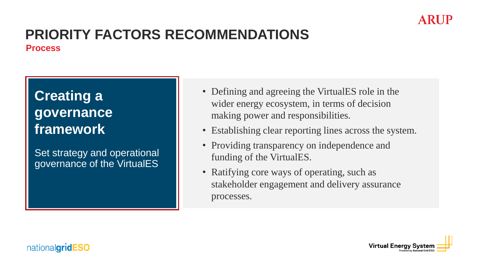

#### **PRIORITY FACTORS RECOMMENDATIONS Process**

**Creating a governance framework**

Set strategy and operational governance of the VirtualES

- Defining and agreeing the VirtualES role in the wider energy ecosystem, in terms of decision making power and responsibilities.
- Establishing clear reporting lines across the system.
- Providing transparency on independence and funding of the VirtualES.
- Ratifying core ways of operating, such as stakeholder engagement and delivery assurance processes.

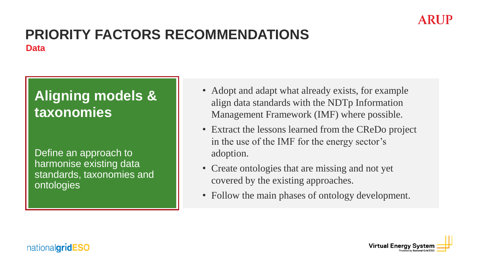

#### **PRIORITY FACTORS RECOMMENDATIONS Data**

## **Aligning models & taxonomies**

Define an approach to harmonise existing data standards, taxonomies and ontologies

- Adopt and adapt what already exists, for example align data standards with the NDTp Information Management Framework (IMF) where possible.
- Extract the lessons learned from the CReDo project in the use of the IMF for the energy sector's adoption.
- Create ontologies that are missing and not yet covered by the existing approaches.
- Follow the main phases of ontology development.

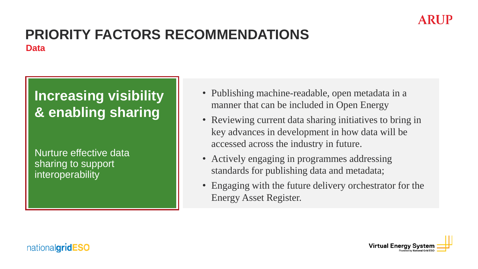

#### **PRIORITY FACTORS RECOMMENDATIONS Data**

## **Increasing visibility & enabling sharing**

Nurture effective data sharing to support interoperability

- Publishing machine-readable, open metadata in a manner that can be included in Open Energy
- Reviewing current data sharing initiatives to bring in key advances in development in how data will be accessed across the industry in future.
- Actively engaging in programmes addressing standards for publishing data and metadata;
- Engaging with the future delivery orchestrator for the Energy Asset Register.

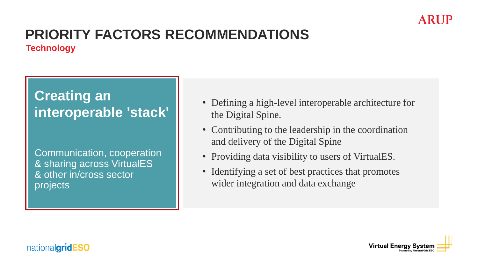#### **PRIORITY FACTORS RECOMMENDATIONS Technology**

## **Creating an interoperable 'stack'**

Communication, cooperation & sharing across VirtualES & other in/cross sector projects

- Defining a high-level interoperable architecture for the Digital Spine.
- Contributing to the leadership in the coordination and delivery of the Digital Spine
- Providing data visibility to users of VirtualES.
- Identifying a set of best practices that promotes wider integration and data exchange



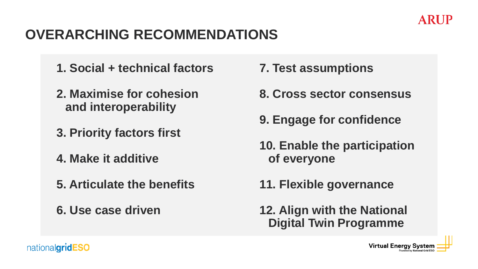## **OVERARCHING RECOMMENDATIONS**

- **1. Social + technical factors**
- **2. Maximise for cohesion and interoperability**
- **3. Priority factors first**
- **4. Make it additive**
- **5. Articulate the benefits**
- **6. Use case driven**
- **7. Test assumptions**
- **8. Cross sector consensus**
- **9. Engage for confidence**
- **10. Enable the participation of everyone**
- **11. Flexible governance**
- **12. Align with the National Digital Twin Programme**

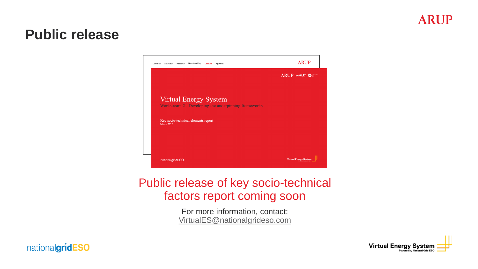### **Public release**



#### Public release of key socio-technical factors report coming soon

For more information, contact: [VirtualES@nationalgrideso.com](mailto:VirtualES@nationalgrideso.com)

![](_page_15_Picture_5.jpeg)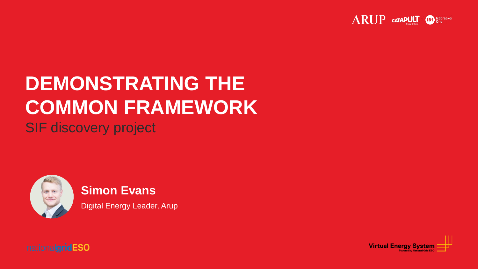![](_page_16_Picture_0.jpeg)

## **DEMONSTRATING THE COMMON FRAMEWORK**

SIF discovery project

![](_page_16_Picture_3.jpeg)

#### **Simon Evans**

Digital Energy Leader, Arup

![](_page_16_Picture_7.jpeg)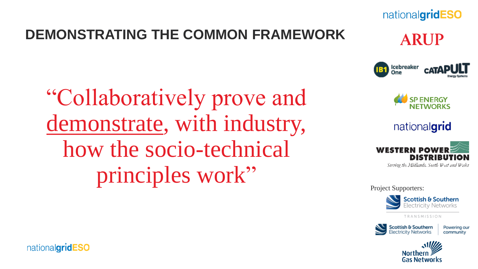## **DEMONSTRATING THE COMMON FRAMEWORK**

"Collaboratively prove and demonstrate, with industry, how the socio-technical principles work"

![](_page_17_Picture_2.jpeg)

lcebreaker<br>One

nationalgridESO

**ARUP** 

**CATAPUI** 

nationalgrid

![](_page_17_Picture_4.jpeg)

Project Supporters:

![](_page_17_Picture_6.jpeg)

TRANSMISSION

![](_page_17_Picture_8.jpeg)

Powering our community

![](_page_17_Picture_10.jpeg)

![](_page_17_Picture_11.jpeg)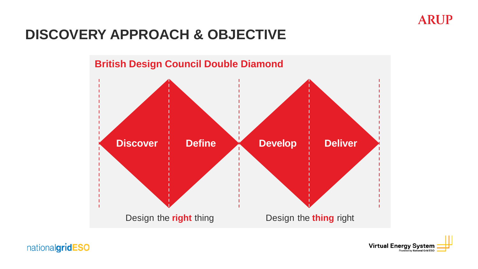![](_page_18_Picture_0.jpeg)

## **DISCOVERY APPROACH & OBJECTIVE**

![](_page_18_Figure_2.jpeg)

![](_page_18_Picture_3.jpeg)

**Virtual Energy System** wered by National Grid ESC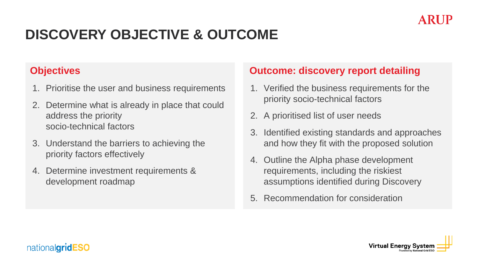![](_page_19_Picture_0.jpeg)

## **DISCOVERY OBJECTIVE & OUTCOME**

#### **Objectives**

- 1. Prioritise the user and business requirements
- 2. Determine what is already in place that could address the priority socio-technical factors
- 3. Understand the barriers to achieving the priority factors effectively
- 4. Determine investment requirements & development roadmap

#### **Outcome: discovery report detailing**

- 1. Verified the business requirements for the priority socio-technical factors
- 2. A prioritised list of user needs
- 3. Identified existing standards and approaches and how they fit with the proposed solution
- 4. Outline the Alpha phase development requirements, including the riskiest assumptions identified during Discovery
- 5. Recommendation for consideration

![](_page_19_Picture_13.jpeg)

![](_page_19_Picture_14.jpeg)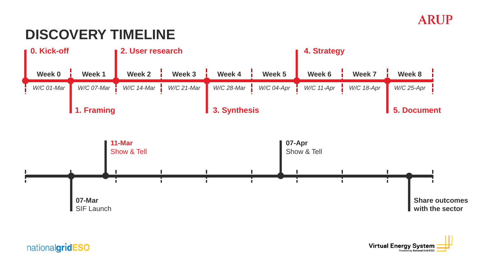## **DISCOVERY TIMELINE**

![](_page_20_Figure_2.jpeg)

![](_page_20_Picture_3.jpeg)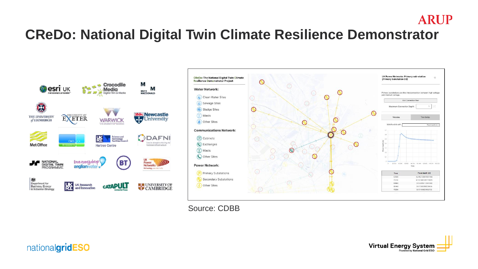## **CReDo: National Digital Twin Climate Resilience Demonstrator**

![](_page_21_Figure_1.jpeg)

![](_page_21_Figure_2.jpeg)

Source: CDBB

![](_page_21_Picture_4.jpeg)

![](_page_21_Picture_5.jpeg)

**ARUP**